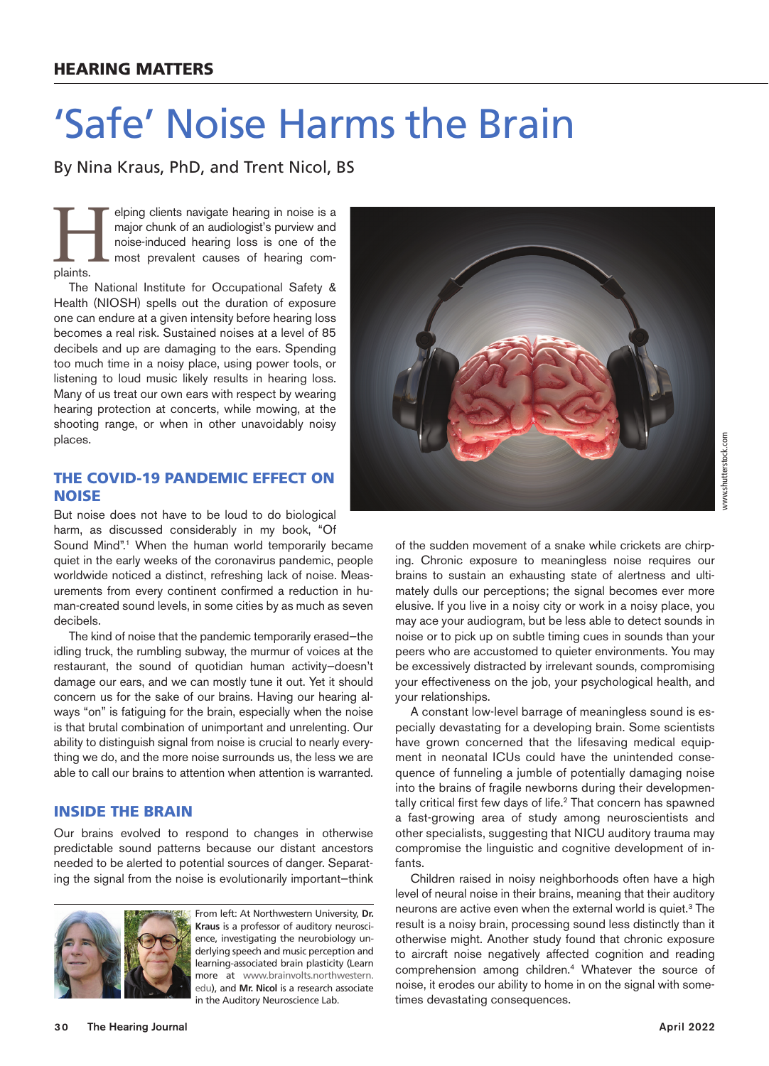# 'Safe' Noise Harms the Brain

By Nina Kraus, PhD, and Trent Nicol, BS

elping clients navigate hearing in noise is a major chunk of an audiologist's purview and noise-induced hearing loss is one of the most prevalent causes of hearing complaints. major chunk of an audiologist's purview and noise-induced hearing loss is one of the most prevalent causes of hearing complaints.

The National Institute for Occupational Safety & Health (NIOSH) spells out the duration of exposure one can endure at a given intensity before hearing loss becomes a real risk. Sustained noises at a level of 85 decibels and up are damaging to the ears. Spending too much time in a noisy place, using power tools, or listening to loud music likely results in hearing loss. Many of us treat our own ears with respect by wearing hearing protection at concerts, while mowing, at the shooting range, or when in other unavoidably noisy places.

## THE COVID-19 PANDEMIC EFFECT ON NOISE

But noise does not have to be loud to do biological harm, as discussed considerably in my book, "Of

Sound Mind".<sup>1</sup> When the human world temporarily became quiet in the early weeks of the coronavirus pandemic, people worldwide noticed a distinct, refreshing lack of noise. Measurements from every continent confirmed a reduction in human-created sound levels, in some cities by as much as seven decibels.

The kind of noise that the pandemic temporarily erased—the idling truck, the rumbling subway, the murmur of voices at the restaurant, the sound of quotidian human activity—doesn't damage our ears, and we can mostly tune it out. Yet it should concern us for the sake of our brains. Having our hearing always "on" is fatiguing for the brain, especially when the noise is that brutal combination of unimportant and unrelenting. Our ability to distinguish signal from noise is crucial to nearly everything we do, and the more noise surrounds us, the less we are able to call our brains to attention when attention is warranted.

### INSIDE THE BRAIN

Our brains evolved to respond to changes in otherwise predictable sound patterns because our distant ancestors needed to be alerted to potential sources of danger. Separating the signal from the noise is evolutionarily important—think



From left: At Northwestern University, **Dr. Kraus** is a professor of auditory neuroscience, investigating the neurobiology underlying speech and music perception and learning-associated brain plasticity (Learn more at [www.brainvolts.northwestern.](http://www.brainvolts.northwestern.edu/) [edu\)](http://www.brainvolts.northwestern.edu/), and **Mr. Nicol** is a research associate in the Auditory Neuroscience Lab.



of the sudden movement of a snake while crickets are chirping. Chronic exposure to meaningless noise requires our brains to sustain an exhausting state of alertness and ultimately dulls our perceptions; the signal becomes ever more elusive. If you live in a noisy city or work in a noisy place, you may ace your audiogram, but be less able to detect sounds in noise or to pick up on subtle timing cues in sounds than your peers who are accustomed to quieter environments. You may be excessively distracted by irrelevant sounds, compromising your effectiveness on the job, your psychological health, and your relationships.

A constant low-level barrage of meaningless sound is especially devastating for a developing brain. Some scientists have grown concerned that the lifesaving medical equipment in neonatal ICUs could have the unintended consequence of funneling a jumble of potentially damaging noise into the brains of fragile newborns during their developmentally critical first few days of life.<sup>2</sup> That concern has spawned a fast-growing area of study among neuroscientists and other specialists, suggesting that NICU auditory trauma may compromise the linguistic and cognitive development of infants.

Children raised in noisy neighborhoods often have a high level of neural noise in their brains, meaning that their auditory neurons are active even when the external world is quiet.<sup>3</sup> The result is a noisy brain, processing sound less distinctly than it otherwise might. Another study found that chronic exposure to aircraft noise negatively affected cognition and reading comprehension among children.4 Whatever the source of noise, it erodes our ability to home in on the signal with sometimes devastating consequences.